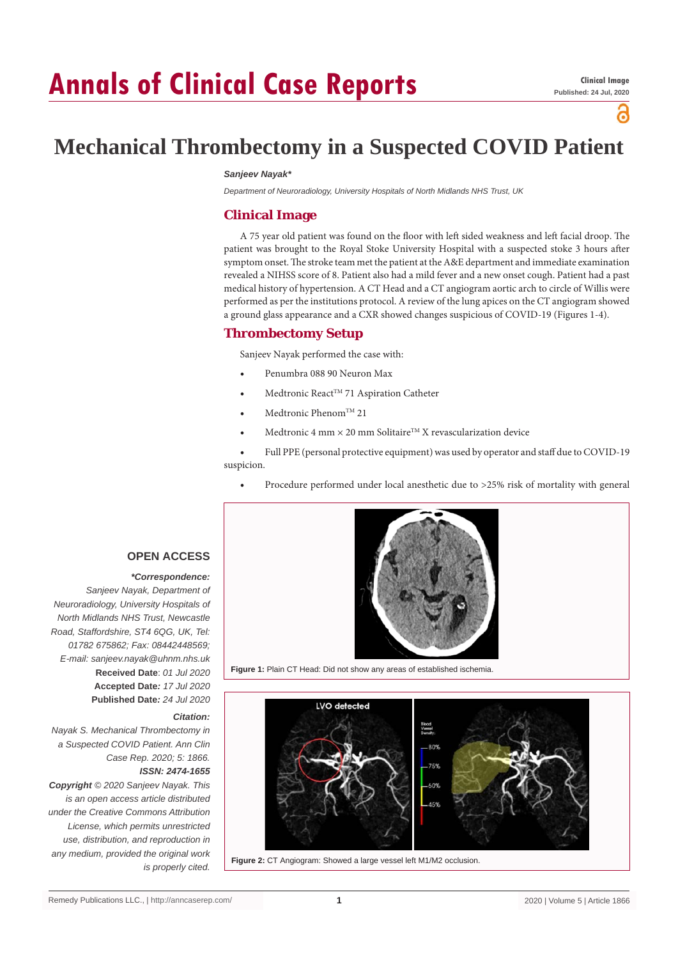# **Annals of Clinical Case Reports**

്

# **Mechanical Thrombectomy in a Suspected COVID Patient**

#### *Sanjeev Nayak\**

*Department of Neuroradiology, University Hospitals of North Midlands NHS Trust, UK*

### **Clinical Image**

A 75 year old patient was found on the floor with left sided weakness and left facial droop. The patient was brought to the Royal Stoke University Hospital with a suspected stoke 3 hours after symptom onset. The stroke team met the patient at the A&E department and immediate examination revealed a NIHSS score of 8. Patient also had a mild fever and a new onset cough. Patient had a past medical history of hypertension. A CT Head and a CT angiogram aortic arch to circle of Willis were performed as per the institutions protocol. A review of the lung apices on the CT angiogram showed a ground glass appearance and a CXR showed changes suspicious of COVID-19 (Figures 1-4).

#### **Thrombectomy Setup**

Sanjeev Nayak performed the case with:

- Penumbra 088 90 Neuron Max
- Medtronic React<sup>TM</sup> 71 Aspiration Catheter
- $Medtronic Phenom<sup>TM</sup> 21$
- Medtronic 4 mm  $\times$  20 mm Solitaire<sup>TM</sup> X revascularization device
- Full PPE (personal protective equipment) was used by operator and staff due to COVID-19 suspicion.
	- Procedure performed under local anesthetic due to >25% risk of mortality with general



**Figure 1:** Plain CT Head: Did not show any areas of established ischemia.



**Figure 2:** CT Angiogram: Showed a large vessel left M1/M2 occlusion.

#### **OPEN ACCESS**

#### *\*Correspondence:*

*Sanjeev Nayak, Department of Neuroradiology, University Hospitals of North Midlands NHS Trust, Newcastle Road, Staffordshire, ST4 6QG, UK, Tel: 01782 675862; Fax: 08442448569; E-mail: sanjeev.nayak@uhnm.nhs.uk* **Received Date**: *01 Jul 2020* **Accepted Date***: 17 Jul 2020* **Published Date***: 24 Jul 2020*

#### *Citation:*

*Nayak S. Mechanical Thrombectomy in a Suspected COVID Patient. Ann Clin Case Rep. 2020; 5: 1866. ISSN: 2474-1655*

*Copyright © 2020 Sanjeev Nayak. This is an open access article distributed under the Creative Commons Attribution License, which permits unrestricted use, distribution, and reproduction in any medium, provided the original work is properly cited.*